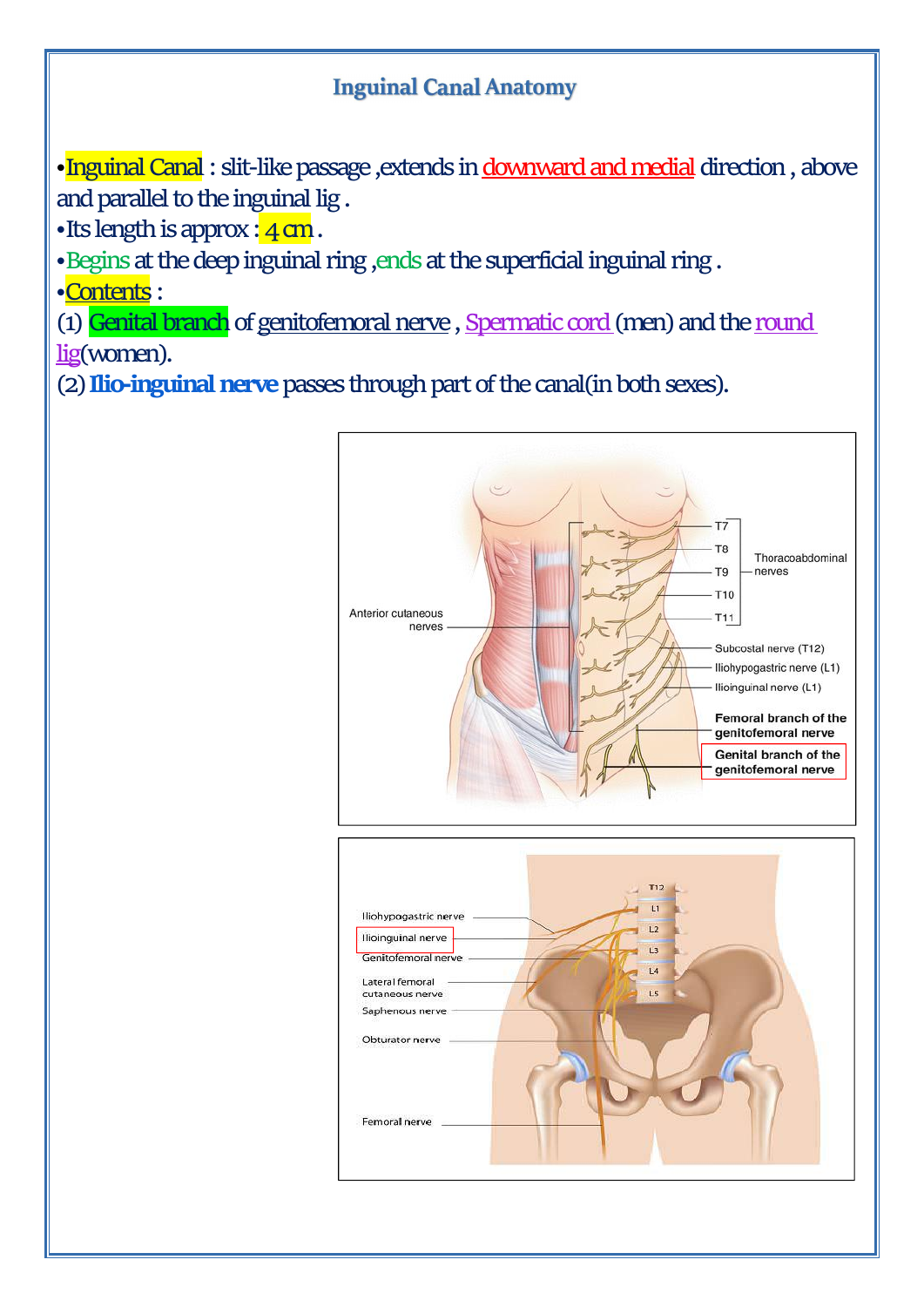#### **Inguinal Canal Anatomy**

· Inguinal Canal: slit-like passage , extends in downward and medial direction, above and parallel to the inguinal lig .

•Its length is approx  $:4$  cm.

•Begins at the deep inguinal ring ,ends at the superficial inguinal ring .

•Contents :

(1) Genital branch of genitofemoral nerve, Spermatic cord (men) and the round lig(women).

(2) **Ilio-inguinal nerve** passes through part of the canal(in both sexes).

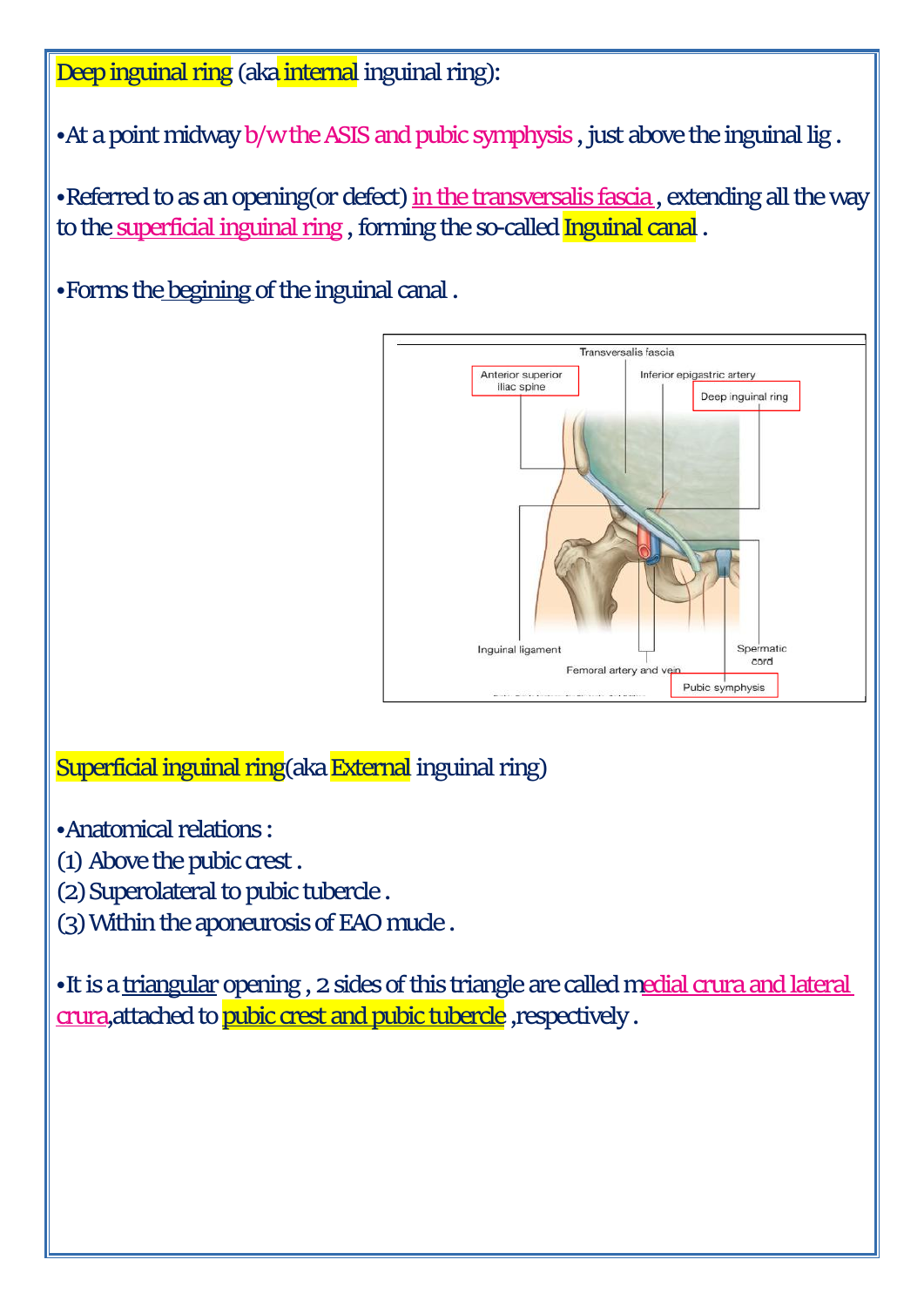Deep inguinal ring (aka internal inguinal ring):

•At a point midway b/w the ASIS and pubic symphysis , just above the inguinal lig .

•Referred to as an opening(or defect) in the transversalis fascia, extending all the way to the superficial inguinal ring , forming the so-called Inguinal canal .

•Forms the begining of the inguinal canal .



Superficial inguinal ring(aka External inguinal ring)

•Anatomical relations :

- (1) Above the pubic crest .
- (2) Superolateral to pubic tubercle .
- (3) Within the aponeurosis of EAO mucle .

•It is a triangular opening , 2 sides of this triangle are called medial crura and lateral crura,attached to pubic crest and pubic tubercle ,respectively .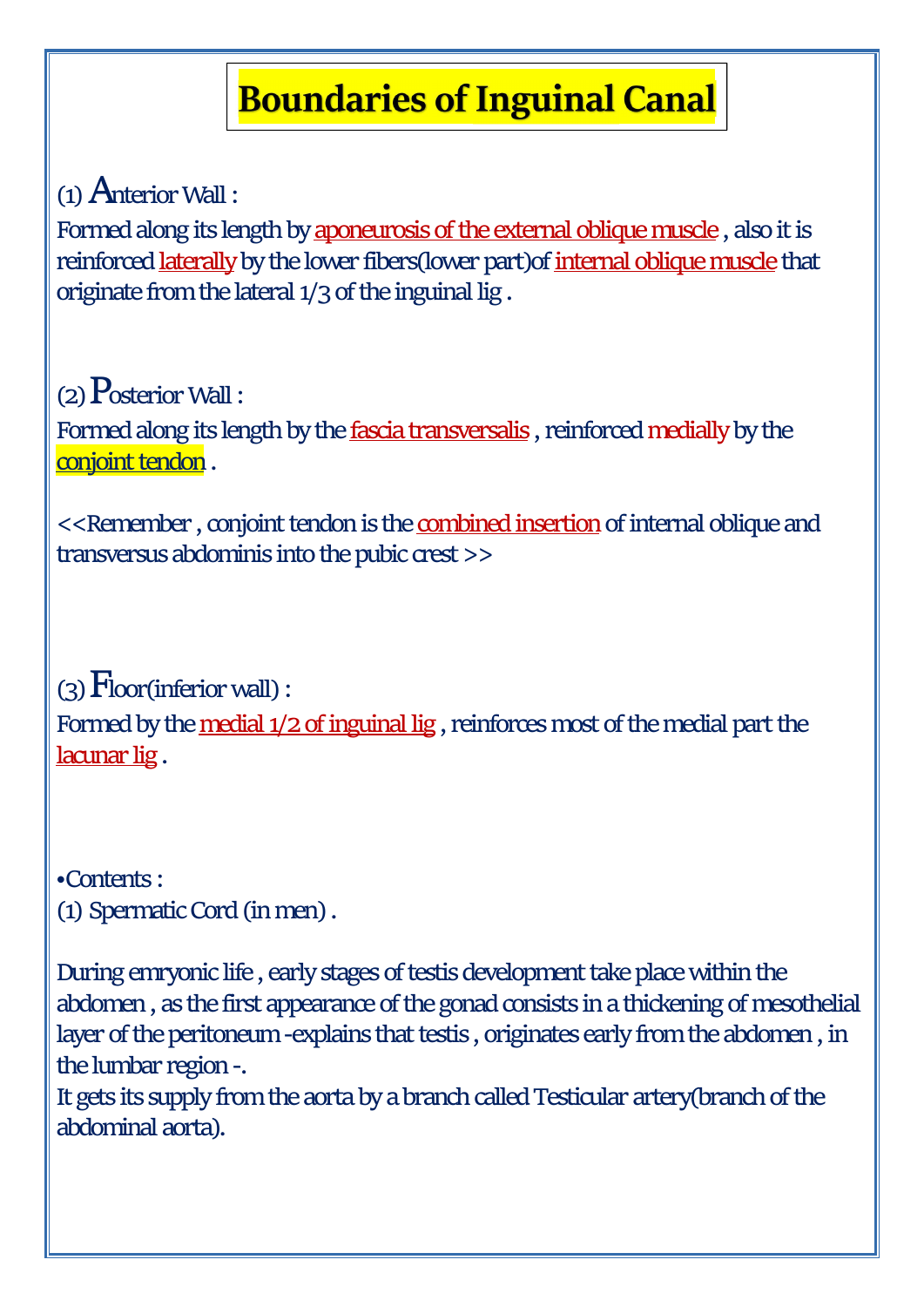# **Boundaries of Inguinal Canal**

(1) Anterior Wall :

Formed along its length by aponeurosis of the external oblique muscle , also it is reinforced laterally by the lower fibers(lower part)of internal oblique muscle that originate from the lateral 1/3 of the inguinal lig .

 $(2)$  Posterior Wall :

Formed along its length by the **fascia transversalis**, reinforced medially by the conjoint tendon.

<<Remember , conjoint tendon is the combined insertion of internal oblique and transversus abdominis into the pubic crest >>

 $(3)$   $F$ loor(inferior wall): Formed by the medial 1/2 of inguinal lig , reinforces most of the medial part the lacunar lig .

•Contents : (1) Spermatic Cord (in men) .

During emryonic life , early stages of testis development take place within the abdomen , as the first appearance of the gonad consists in a thickening of mesothelial layer of the peritoneum -explains that testis, originates early from the abdomen , in the lumbar region -.

It gets its supply from the aorta by a branch called Testicular artery(branch of the abdominal aorta).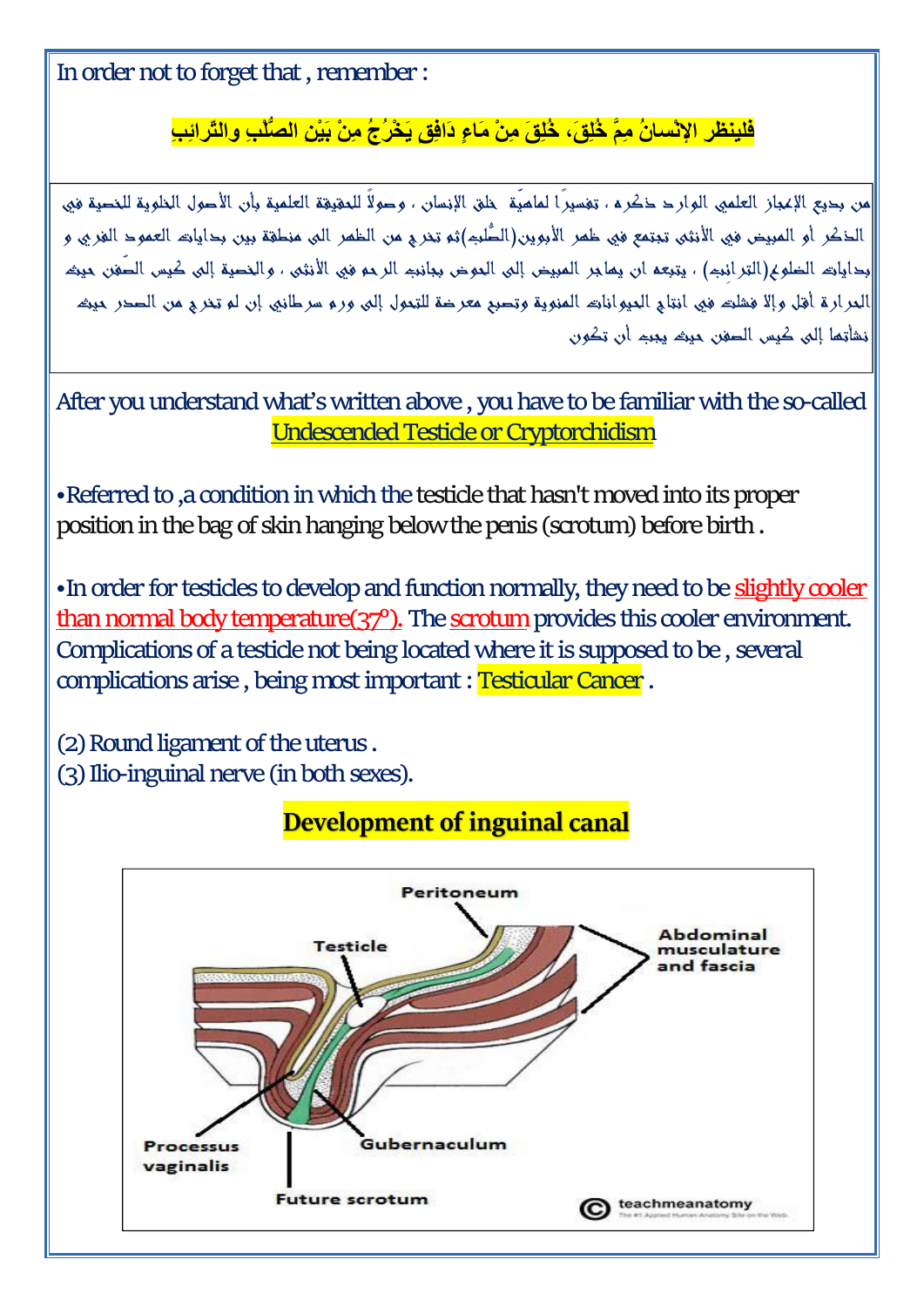In order not to forget that , remember :

### **㌮⸸‴敲昍പ‴䙇 ㌮˸ Ϡ‴ ΐ˸Ϡ ΐm Ν敲ή˸ ϖ˶‴ Ỡ㍟m ΐm ϖ˸ϓ ϖ˸ϓ ᶠm ϥ㍟Ύδ‴ 敲ψ˸˸˶**

أمن بحيع الإعجاز العلمي الوار حـ خكر a ، تغسيرًا لماهيّة خلق الإنسان ، وحولاً للحقيقة العلمية بأن الأحول الخلوية للخصية في الذكر أو المبيض في الأنثى تبتمع في ظمر الأبوين(الطُّلبّ)ثم تذري من الظمر الى منطقة بين بدايات العمود الفري و أبداياته الخلوع(الترائيم) ، يتبعه ان يماجر المبيض إلى الموض ببانيم الرحو في الأنثى ، والنصية إلى كيس الصّفن حيث ألعر ارة أفتل وإلا فشلته في انتاج العيواناته المنوية وتصبع معرضة للتعول إلى ورم سرطاني إن لم تخرج من الصحر حيثه أنشأتها إلى كبس الصفن حبثه يجبه أن تكون

After you understand what's written above , you have to be familiar with the so-called Undescended Testicle or Cryptorchidism

•Referred to ,a condition in which the testicle that hasn't moved into its proper position in the bag of skin hanging below the penis (scrotum) before birth.

•In order for testicles to develop and function normally, they need to be slightly cooler than normal body temperature(37°). The scrotum provides this coolerenvironment. Complications of a testicle not being located where it is supposed to be , several complications arise , being most important : Testicular Cancer .

(2) Round ligament of the uterus.

(3) Ilio-inguinal nerve (in both sexes).

# **Development of inguinal canal**

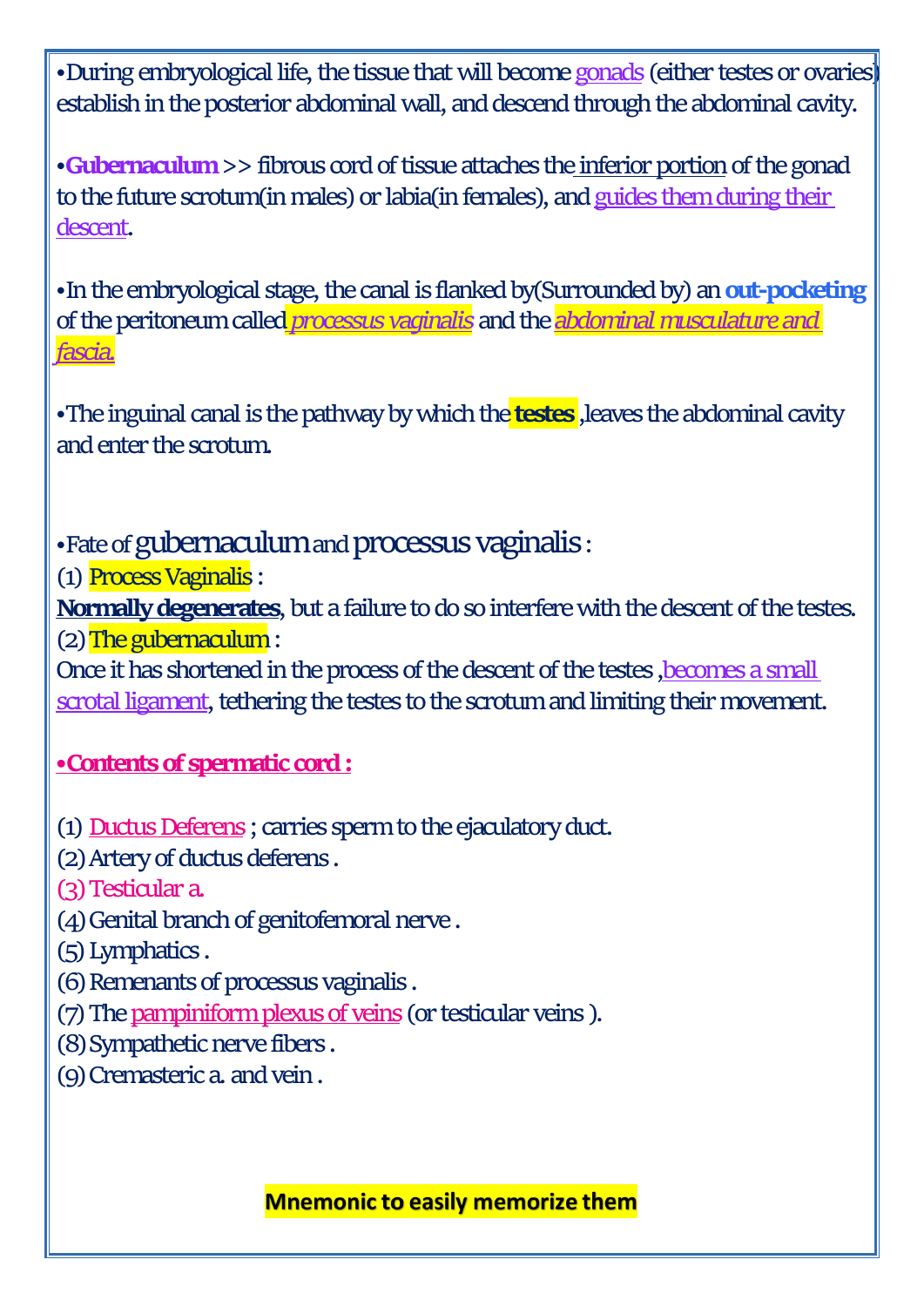• During embryological life, the tissue that will become gonads (either testes or ovaries) establish in the posterior abdominal wall, and descend through the abdominal cavity.

•**Gubernaculum** >> fibrous cord of tissue attaches the inferior portion of the gonad to the future scrotum(in males) or labia(in females), and guides them during their descent.

•In the embryological stage, the canal is flanked by(Surrounded by) an **out-pocketing** of the peritoneum called *processus vaginalis* and the *abdominal musculature and fascia.*

•The inguinal canal is the pathway by which the **testes** ,leaves the abdominal cavity

and enter the scrotum.<br>•Fate of gubernaculum and processus vaginalis:

(1) Process Vaginalis :

**Normally degenerates**, but a failure to do so interfere with the descent of the testes. (2) The gubernaculum :

Once it has shortened in the process of the descent of the testes ,becomes a small scrotal ligament, tethering the testes to the scrotum and limiting their movement.

### **•Contents of spermatic cord :**

(1) Ductus Deferens ; carries sperm to the ejaculatory duct.

(2) Artery of ductus deferens .

(3) Testicular a.

(4) Genital branch of genitofemoral nerve .

(5) Lymphatics .

(6) Remenants of processus vaginalis .

(7) The pampiniform plexus of veins (or testicular veins ).

(8) Sympathetic nerve fibers .

(9) Cremasteric a. and vein .

**Mnemonic to easily memorize them**